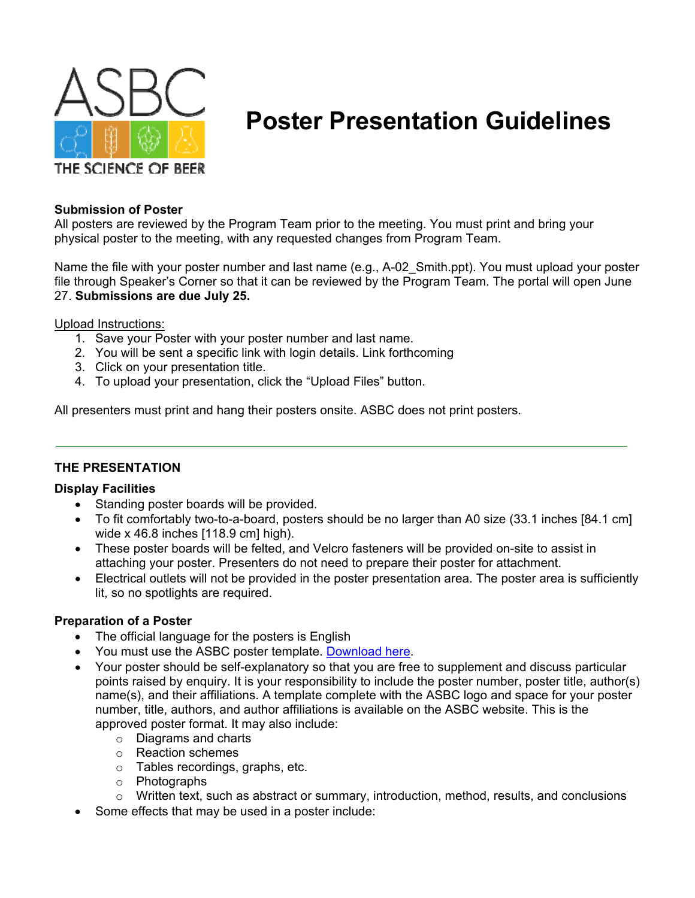

# **Poster Presentation Guidelines**

#### **Submission of Poster**

All posters are reviewed by the Program Team prior to the meeting. You must print and bring your physical poster to the meeting, with any requested changes from Program Team.

Name the file with your poster number and last name (e.g., A-02 Smith.ppt). You must upload your poster file through Speaker's Corner so that it can be reviewed by the Program Team. The portal will open June 27. **Submissions are due July 25.**

#### Upload Instructions:

- 1. Save your Poster with your poster number and last name.
- 2. You will be sent a specific link with login details. Link forthcoming
- 3. Click on your presentation title.
- 4. To upload your presentation, click the "Upload Files" button.

All presenters must print and hang their posters onsite. ASBC does not print posters.

# **THE PRESENTATION**

#### **Display Facilities**

- Standing poster boards will be provided.
- To fit comfortably two-to-a-board, posters should be no larger than A0 size (33.1 inches [84.1 cm] wide x 46.8 inches [118.9 cm] high).
- These poster boards will be felted, and Velcro fasteners will be provided on-site to assist in attaching your poster. Presenters do not need to prepare their poster for attachment.
- Electrical outlets will not be provided in the poster presentation area. The poster area is sufficiently lit, so no spotlights are required.

#### **Preparation of a Poster**

- The official language for the posters is English
- You must use the ASBC poster template. Download here.
- Your poster should be self-explanatory so that you are free to supplement and discuss particular points raised by enquiry. It is your responsibility to include the poster number, poster title, author(s) name(s), and their affiliations. A template complete with the ASBC logo and space for your poster number, title, authors, and author affiliations is available on the ASBC website. This is the approved poster format. It may also include:
	- o Diagrams and charts
	- o Reaction schemes
	- o Tables recordings, graphs, etc.
	- o Photographs
	- $\circ$  Written text, such as abstract or summary, introduction, method, results, and conclusions
- Some effects that may be used in a poster include: